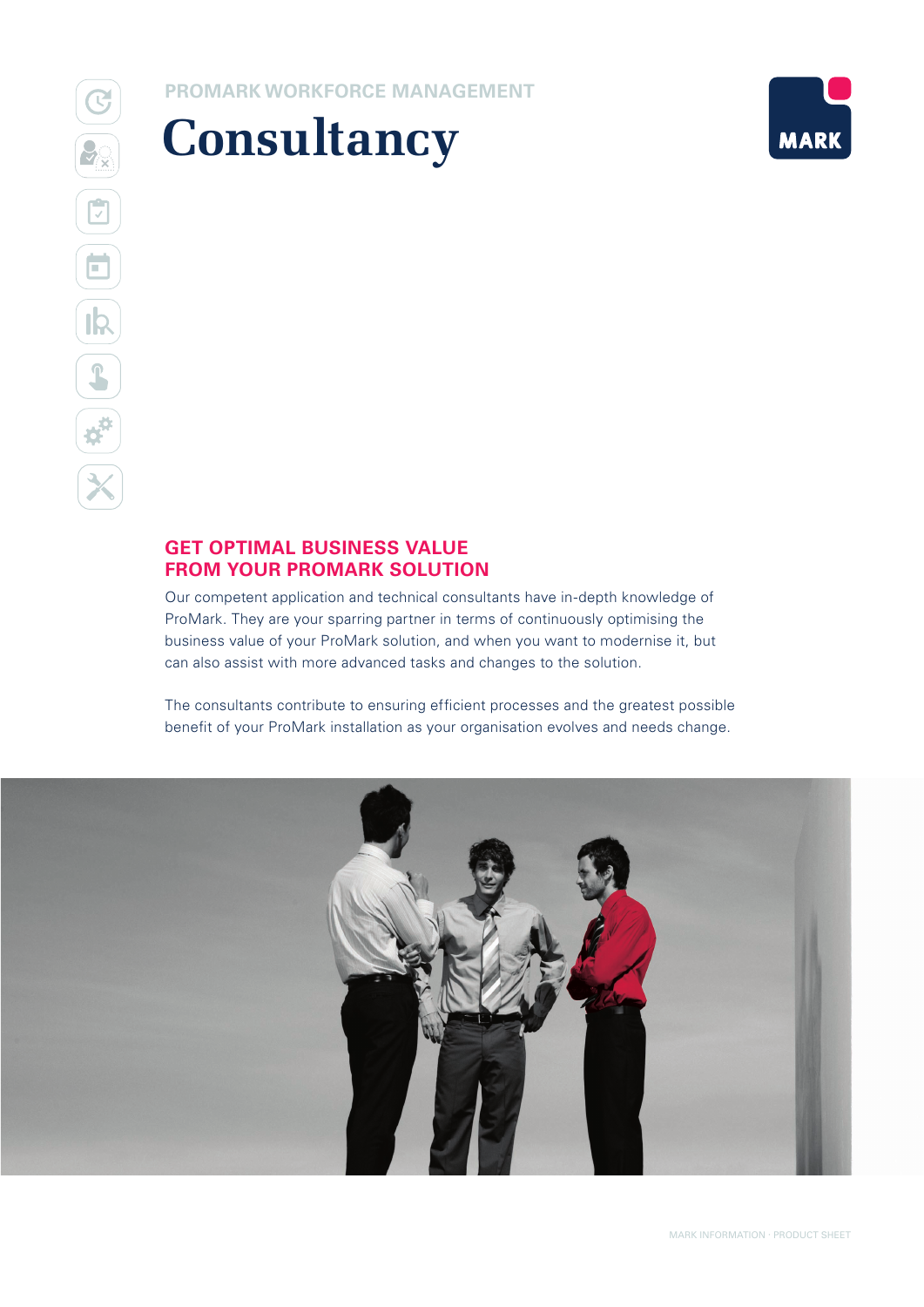## **PROMARK WORKFORCE MANAGEMENT**





## **GET OPTIMAL BUSINESS VALUE FROM YOUR PROMARK SOLUTION**

Our competent application and technical consultants have in-depth knowledge of ProMark. They are your sparring partner in terms of continuously optimising the business value of your ProMark solution, and when you want to modernise it, but can also assist with more advanced tasks and changes to the solution.

The consultants contribute to ensuring efficient processes and the greatest possible benefit of your ProMark installation as your organisation evolves and needs change.

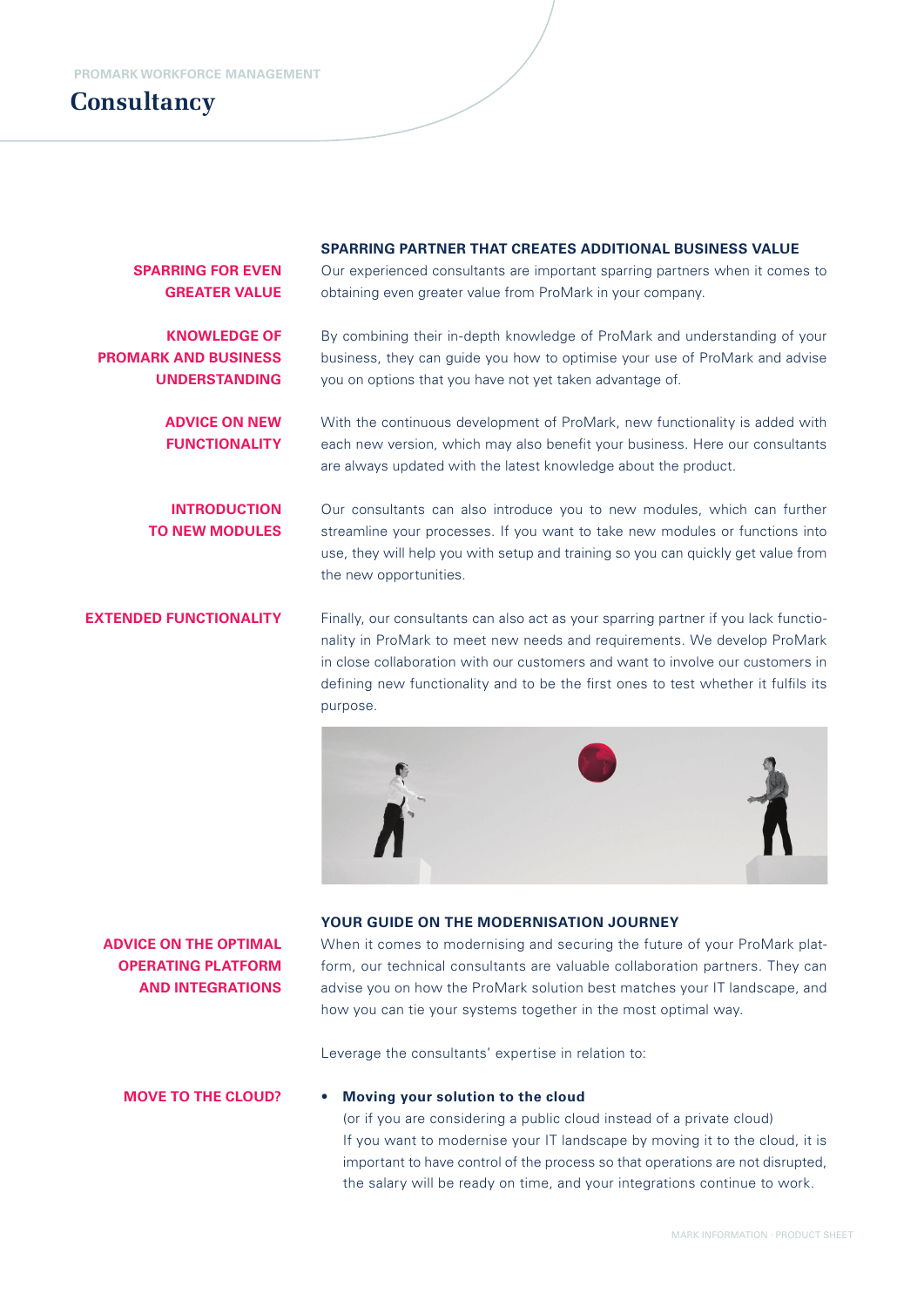## **Consultancy**

#### **SPARRING PARTNER THAT CREATES ADDITIONAL BUSINESS VALUE**

**SPARRING FOR EVEN GREATER VALUE**

**KNOWLEDGE OF PROMARK AND BUSINESS UNDERSTANDING**

> **ADVICE ON NEW FUNCTIONALITY**

**INTRODUCTION TO NEW MODULES** Our experienced consultants are important sparring partners when it comes to obtaining even greater value from ProMark in your company.

By combining their in-depth knowledge of ProMark and understanding of your business, they can guide you how to optimise your use of ProMark and advise you on options that you have not yet taken advantage of.

With the continuous development of ProMark, new functionality is added with each new version, which may also benefit your business. Here our consultants are always updated with the latest knowledge about the product.

Our consultants can also introduce you to new modules, which can further streamline your processes. If you want to take new modules or functions into use, they will help you with setup and training so you can quickly get value from the new opportunities.

Finally, our consultants can also act as your sparring partner if you lack functionality in ProMark to meet new needs and requirements. We develop ProMark in close collaboration with our customers and want to involve our customers in defining new functionality and to be the first ones to test whether it fulfils its purpose. **EXTENDED FUNCTIONALITY**



#### **YOUR GUIDE ON THE MODERNISATION JOURNEY**

### When it comes to modernising and securing the future of your ProMark platform, our technical consultants are valuable collaboration partners. They can advise you on how the ProMark solution best matches your IT landscape, and how you can tie your systems together in the most optimal way.

Leverage the consultants' expertise in relation to:

#### **MOVE TO THE CLOUD?**

**ADVICE ON THE OPTIMAL OPERATING PLATFORM AND INTEGRATIONS**

#### • **Moving your solution to the cloud**

(or if you are considering a public cloud instead of a private cloud) If you want to modernise your IT landscape by moving it to the cloud, it is important to have control of the process so that operations are not disrupted, the salary will be ready on time, and your integrations continue to work.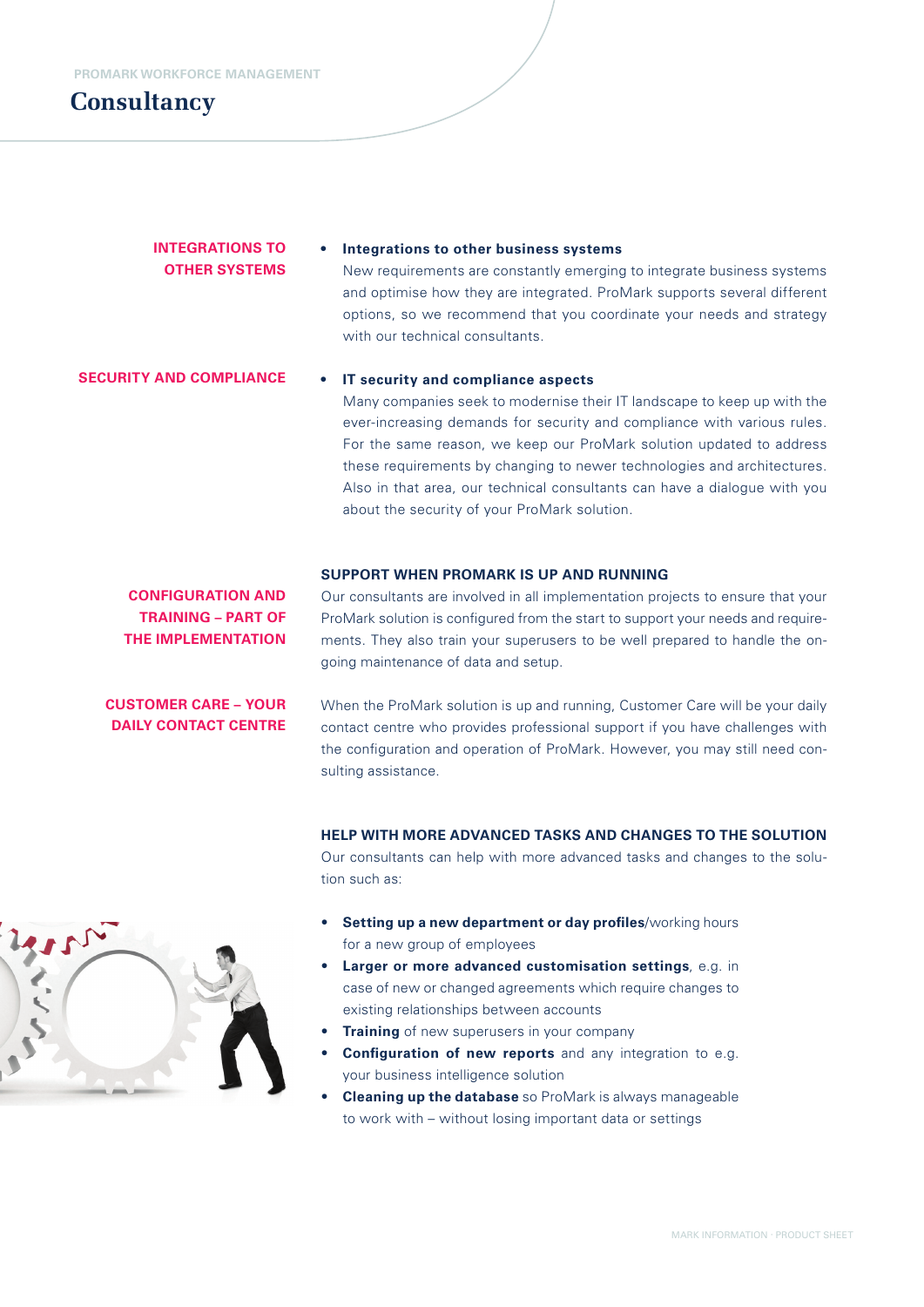## **Consultancy**

### **INTEGRATIONS TO OTHER SYSTEMS**

### **• Integrations to other business systems**

New requirements are constantly emerging to integrate business systems and optimise how they are integrated. ProMark supports several different options, so we recommend that you coordinate your needs and strategy with our technical consultants.

#### **SECURITY AND COMPLIANCE**

#### **• IT security and compliance aspects**

Many companies seek to modernise their IT landscape to keep up with the ever-increasing demands for security and compliance with various rules. For the same reason, we keep our ProMark solution updated to address these requirements by changing to newer technologies and architectures. Also in that area, our technical consultants can have a dialogue with you about the security of your ProMark solution.

#### **SUPPORT WHEN PROMARK IS UP AND RUNNING**

**CONFIGURATION AND TRAINING – PART OF THE IMPLEMENTATION**

Our consultants are involved in all implementation projects to ensure that your ProMark solution is configured from the start to support your needs and requirements. They also train your superusers to be well prepared to handle the ongoing maintenance of data and setup.

**CUSTOMER CARE – YOUR DAILY CONTACT CENTRE**

When the ProMark solution is up and running, Customer Care will be your daily contact centre who provides professional support if you have challenges with the configuration and operation of ProMark. However, you may still need consulting assistance.

### **HELP WITH MORE ADVANCED TASKS AND CHANGES TO THE SOLUTION**

Our consultants can help with more advanced tasks and changes to the solution such as:

- **Setting up a new department or day profiles/working hours** for a new group of employees
- **Larger or more advanced customisation settings**, e.g. in case of new or changed agreements which require changes to existing relationships between accounts
- **Training** of new superusers in your company
- **Configuration of new reports** and any integration to e.g. your business intelligence solution
- **Cleaning up the database** so ProMark is always manageable to work with – without losing important data or settings

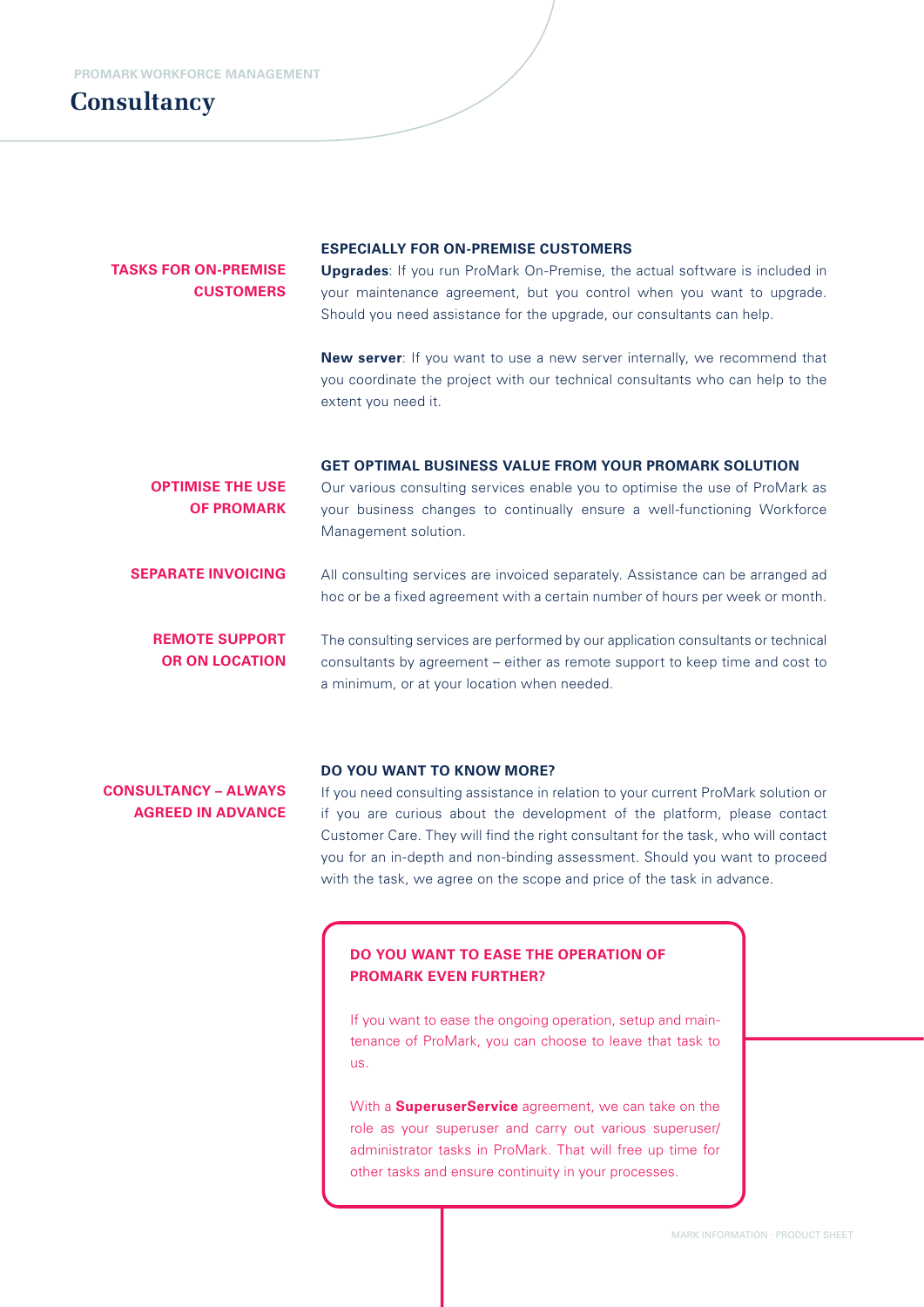## **Consultancy**

### **TASKS FOR ON-PREMISE CUSTOMERS**

#### **ESPECIALLY FOR ON-PREMISE CUSTOMERS**

**Upgrades**: If you run ProMark On-Premise, the actual software is included in your maintenance agreement, but you control when you want to upgrade. Should you need assistance for the upgrade, our consultants can help.

**New server**: If you want to use a new server internally, we recommend that you coordinate the project with our technical consultants who can help to the extent you need it.

| <b>OPTIMISE THE USE</b><br><b>OF PROMARK</b>   | <b>GET OPTIMAL BUSINESS VALUE FROM YOUR PROMARK SOLUTION</b><br>Our various consulting services enable you to optimise the use of ProMark as<br>your business changes to continually ensure a well-functioning Workforce<br>Management solution. |
|------------------------------------------------|--------------------------------------------------------------------------------------------------------------------------------------------------------------------------------------------------------------------------------------------------|
| <b>SEPARATE INVOICING</b>                      | All consulting services are invoiced separately. Assistance can be arranged ad<br>hoc or be a fixed agreement with a certain number of hours per week or month.                                                                                  |
| <b>REMOTE SUPPORT</b><br><b>OR ON LOCATION</b> | The consulting services are performed by our application consultants or technical<br>consultants by agreement – either as remote support to keep time and cost to<br>a minimum, or at your location when needed.                                 |

#### **DO YOU WANT TO KNOW MORE?**

**CONSULTANCY – ALWAYS AGREED IN ADVANCE** 

If you need consulting assistance in relation to your current ProMark solution or if you are curious about the development of the platform, please contact Customer Care. They will find the right consultant for the task, who will contact you for an in-depth and non-binding assessment. Should you want to proceed with the task, we agree on the scope and price of the task in advance.

### **DO YOU WANT TO EASE THE OPERATION OF PROMARK EVEN FURTHER?**

If you want to ease the ongoing operation, setup and maintenance of ProMark, you can choose to leave that task to us.

With a **SuperuserService** agreement, we can take on the role as your superuser and carry out various superuser/ administrator tasks in ProMark. That will free up time for other tasks and ensure continuity in your processes.